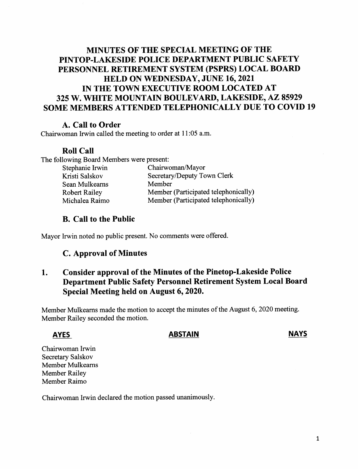# MINUTES OF THE SPECIAL MEETING OF THE PINTOP-LAKESIDE POLICE DEPARTMENT PUBLIC SAFETY PERSONNEL RETIREMENT SYSTEM (PSPRS) LOCAL BOARD HELD ON WEDNESDAY, JUNE 16, 2021 IN THE TOWN EXECUTIVE ROOM LOCATED AT 325 W. WHITE MOUNTAIN BOULEVARD, LAKESIDE, AZ 85929 SOME MEMBERS ATTENDED TELEPHONICALLY DUE TO COVID 19

## A. Call to Order

Chairwoman Irwin called the meeting to order at 11:05 a.m.

### Roll Call

The following Board Members were present:

| Chairwoman/Mayor                     |
|--------------------------------------|
| Secretary/Deputy Town Clerk          |
| Member                               |
| Member (Participated telephonically) |
| Member (Participated telephonically) |
|                                      |

## B. Call to the Public

Mayor Irwin noted no public present. No comments were offered.

### C. Approval of Minutes

## 1. Consider approval of the Minutes of the pinetop-Lakeside police Department Public Safety Personnel Retirement System Local Board Special Meeting held on August 6, 2020.

Member Mulkeams made the motion to accept the minutes of the August 6, 2020 meeting. Member Railey seconded the motion.

### AYES ABSTAIN

NAYS

Chairwoman Irwin Secretary Salskov Member Mulkeams Member Railey Member Raimo

Chairwoman Irwin declared the motion passed unanimously.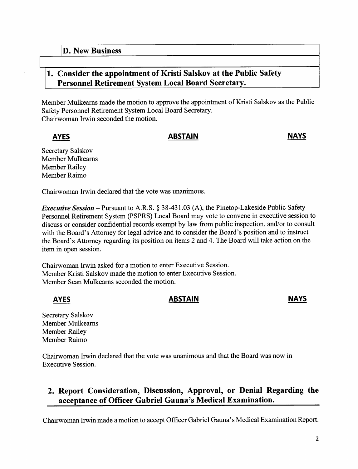## 1. Consider the appointment of Kristi Salskov at the Public Safety Personnel Retirement System Local Board Secretary.

Member Mulkeams made the motion to approve the appointment of Kristi Salskov as the Public Safety Personnel Retirement System Local Board Secretary. Chairwoman Irwin seconded the motion.

AYES

### ABSTAIN NAYS

Secretary Salskov Member Mulkeams Member Railey Member Raimo

Chairwoman Irwin declared that the vote was unanimous.

*Executive Session* – Pursuant to A.R.S. § 38-431.03 (A), the Pinetop-Lakeside Public Safety Personnel Retirement System (PSPRS) Local Board may vote to convene in executive session to discuss or consider confidential records exempt by law from public inspection, and/or to consult with the Board's Attorney for legal advice and to consider the Board's position and to instruct the Board's Attorney regarding its position on items 2 and 4. The Board will take action on the item in open session.

Chairwoman Irwin asked for a motion to enter Executive Session. Member Kristi Salskov made the motion to enter Executive Session. Member Sean Mulkeams seconded the motion.

## AYES ABSTAIN ARES

Secretary Salskov Member Mulkeams Member Railey Member Raimo

Chairwoman Irwin declared that the vote was unanimous and that the Board was now in Executive Session.

# 2. Report Consideration, Discussion, Approval, or Denial Regarding the acceptance of Officer Gabriel Gauna's Medical Examination.

Chairwoman Irwin made a motion to accept Officer Gabriel Gauna' s Medical Examination Report.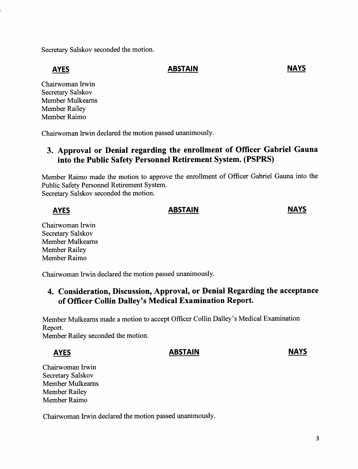Secretary Salskov seconded the motion.

AYES ABSTAIN ARES

Chairwoman Irwin Secretary Salskov Member Mulkeams Member Railey Member Raimo

Chairwoman Irwin declared the motion passed unanimously.

# 3. Approval or Denial regarding the enrollment of Officer Gabriel Gauna into the Public Safety Personnel Retirement System. (PSPRS)

Member Raimo made the motion to approve the eurollment of Officer Gabriel Gauna into the Public Safety Personnel Retirement System. Secretary Salskov seconded the motion.

## AYES NAYS ARESTAIN

Chairwoman Irwin Secretary Salskov Member Mulkeams Member Railey Member Raimo

Chairwoman Irwin declared the motion passed unanimously.

# 4. Consideration, Discussion, Approval, or Denial Regarding the acceptance of Officer Collin Dalley's Medical Examination Report.

Member Mulkeams made a motion to accept Officer Collin Dalley' s Medical Examination Report.

Member Railey seconded the motion.

## AYES ABSTAIN

### NAYS

Chairwoman Irwin Secretary Salskov Member Mulkeams Member Railey Member Raimo

Chairwoman Irwin declared the motion passed unanimously.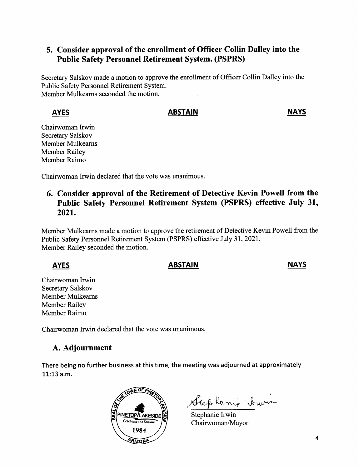## 5. Consider approval of the enrollment of Officer Collin Dalley into the Public Safety Personnel Retirement System. (PSPRS)

Secretary Salskov made a motion to approve the eurollment of Officer Collin Dalley into the Public Safety Personnel Retirement System. Member Mulkeams seconded the motion.

## AYES

### ABSTAIN NAYS

Chairwoman Irwin Secretary Salskov Member Mulkeams Member Railey Member Raimo

Chairwoman Irwin declared that the vote was unanimous.

# 6. Consider approval of the Retirement of Detective Kevin Powell from the Public Safety Personnel Retirement System (PSPRS) effective July 31, 2021.

Member Mulkeams made a motion to approve the retirement of Detective Kevin Powell from the Public Safety Personnel Retirement System (PSPRS) effective July 31, 2021. Member Railey seconded the motion.

# AYES

## ABSTAIN NAYS

Chairwoman Irwin Secretary Salskov Member Mulkeams Member Railey Member Raimo

Chairwoman Irwin declared that the vote was unanimous.

# A. Adjournment

There being no further business at this time, the meeting was adjourned at approximately  $11:13$  a.m.



Stephanie Invi

Stephanie Irwin Chairwoman/Mayor